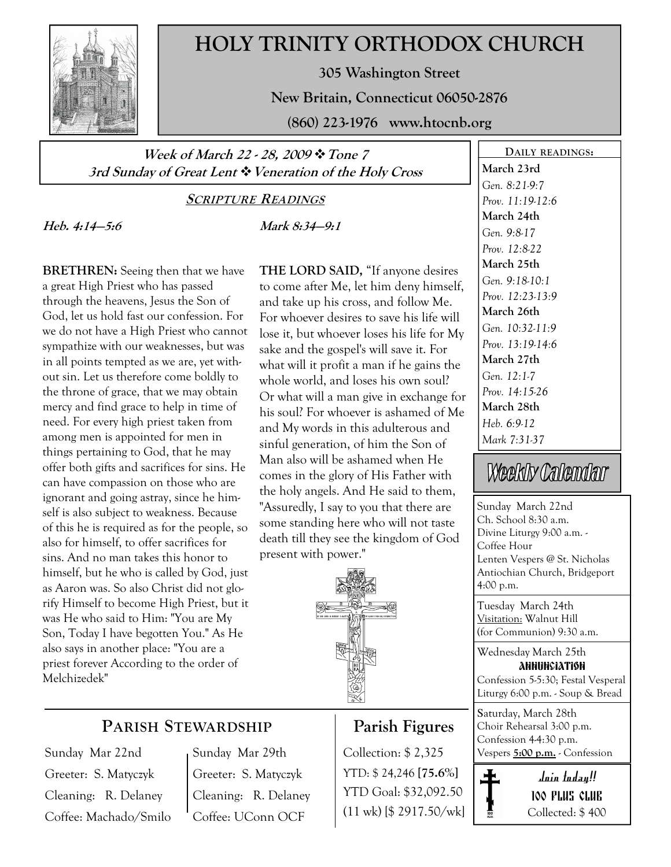

## HOLY TRINITY ORTHODOX CHURCH

305 Washington Street

New Britain, Connecticut 06050-2876

(860) 223-1976 www.htocnb.org

Week of March 22 - 28, 2009 \* Tone 7 3rd Sunday of Great Lent  $\ddot{\cdot}$  Veneration of the Holy Cross

SCRIPTURE READINGS

Heb. 4:14—5:6

Mark 8:34—9:1

BRETHREN: Seeing then that we have a great High Priest who has passed through the heavens, Jesus the Son of God, let us hold fast our confession. For we do not have a High Priest who cannot sympathize with our weaknesses, but was in all points tempted as we are, yet without sin. Let us therefore come boldly to the throne of grace, that we may obtain mercy and find grace to help in time of need. For every high priest taken from among men is appointed for men in things pertaining to God, that he may offer both gifts and sacrifices for sins. He can have compassion on those who are ignorant and going astray, since he himself is also subject to weakness. Because of this he is required as for the people, so also for himself, to offer sacrifices for sins. And no man takes this honor to himself, but he who is called by God, just as Aaron was. So also Christ did not glorify Himself to become High Priest, but it was He who said to Him: "You are My Son, Today I have begotten You." As He also says in another place: "You are a priest forever According to the order of Melchizedek"

THE LORD SAID, "If anyone desires to come after Me, let him deny himself, and take up his cross, and follow Me. For whoever desires to save his life will lose it, but whoever loses his life for My sake and the gospel's will save it. For what will it profit a man if he gains the whole world, and loses his own soul? Or what will a man give in exchange for his soul? For whoever is ashamed of Me and My words in this adulterous and sinful generation, of him the Son of Man also will be ashamed when He comes in the glory of His Father with the holy angels. And He said to them, "Assuredly, I say to you that there are some standing here who will not taste death till they see the kingdom of God present with power."



## PARISH STEWARDSHIP

Sunday Mar 22nd Greeter: S. Matyczyk Cleaning: R. Delaney Coffee: Machado/Smilo Sunday Mar 29th Greeter: S. Matyczyk Cleaning: R. Delaney Coffee: UConn OCF

## Parish Figures

YTD: \$ 24,246 [75.6%] YTD Goal: \$32,092.50 (11 wk) [\$ 2917.50/wk]

DAILY READINGS: March 23rd Gen. 8:21-9:7 Prov. 11:19-12:6 March 24th Gen. 9:8-17 Prov. 12:8-22 March 25th Gen. 9:18-10:1 Prov. 12:23-13:9 March 26th Gen. 10:32-11:9 Prov. 13:19-14:6 March 27th Gen. 12:1-7 Prov. 14:15-26 March 28th Heb. 6:9-12 Mark 7:31-37

# Weekly Calendar

Sunday March 22nd Ch. School 8:30 a.m. Divine Liturgy 9:00 a.m. - Coffee Hour Lenten Vespers @ St. Nicholas Antiochian Church, Bridgeport 4:00 p.m.

Tuesday March 24th Visitation: Walnut Hill (for Communion) 9:30 a.m.

Wednesday March 25th annunciation Confession 5-5:30; Festal Vesperal Liturgy 6:00 p.m. - Soup & Bread

Saturday, March 28th Choir Rehearsal 3:00 p.m. Confession 4-4:30 p.m. Collection: \$2,325 Vespers 5:00 p.m. - Confession